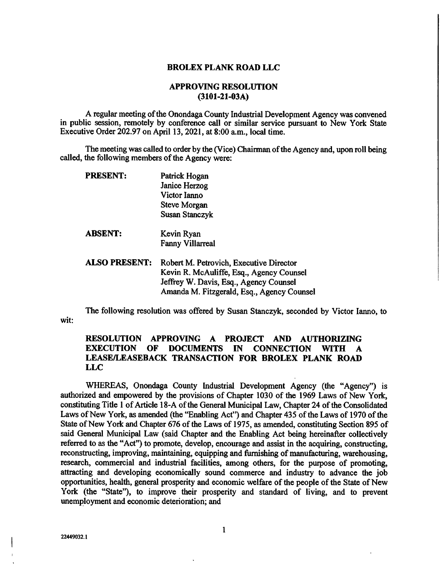## BROLEX PLANK ROAD LLC

## APPROVING RESOLUTION (3101-21-03A)

A regular meeting of the Onondaga County Industrial Development Agency was convened in public session, remotely by conference call or similar service pursuant to New York State Executive Order 202.97 on April 13, 2021, at 8:00 a.m., local time.

The meeting was called to order by the (Vice) Chairman of the Agency and, upon roll being called, the following members of the Agency were:

| PRESENT:             | Patrick Hogan                              |
|----------------------|--------------------------------------------|
|                      | Janice Herzog                              |
|                      | Victor Ianno                               |
|                      | Steve Morgan                               |
|                      | <b>Susan Stanczyk</b>                      |
| <b>ABSENT:</b>       | Kevin Ryan                                 |
|                      | <b>Fanny Villarreal</b>                    |
| <b>ALSO PRESENT:</b> | Robert M. Petrovich, Executive Director    |
|                      | Kevin R. McAuliffe, Esq., Agency Counsel   |
|                      | Jeffrey W. Davis, Esq., Agency Counsel     |
|                      | Amanda M. Fitzgerald, Esq., Agency Counsel |

wit: The following resolution was offered by Susan Stanczyk, seconded by Victor Ianno, to

## RESOLUTION APPROVING A PROJECT AND AUTHORIZING EXECUTION OF DOCUMENTS IN CONNECTION WITH A LEASE/LEASEBACK TRANSACTION FOR BROLEX PLANK ROAD LLC

WHEREAS, Onondaga County Industrial Development Agency (the "Agency") is authorized and empowered by the provisions of Chapter 1030 of the 1969 Laws of New York, constituting Title 1 of Article 18-A of the General Municipal Law, Chapter 24 of the Consolidated Laws of New York, as amended (the "Enabling Act") and Chapter 435 of the Laws of 1970 of the State of New York and Chapter 676 of the Laws of 1975, as amended, constituting Section 895 of said General Municipal Law (said Chapter and the Enabling Act being hereinafter collectively referred to as the "Act") to promote, develop, encourage and assist in the acquiring, constructing, reconstructing, improving, maintaining, equipping and furnishing of manufacturing, warehousing, research, commercial and industrial facilities, among others, for the purpose of promoting, attracting and developing economically sound commerce and industry to advance the job opportunities, health, general prosperity and economic welfare of the people of the State of New York (the "State"), to improve their prosperity and standard of living, and to prevent unemployment and economic deterioration; and

للمراج المستحدث للمدامين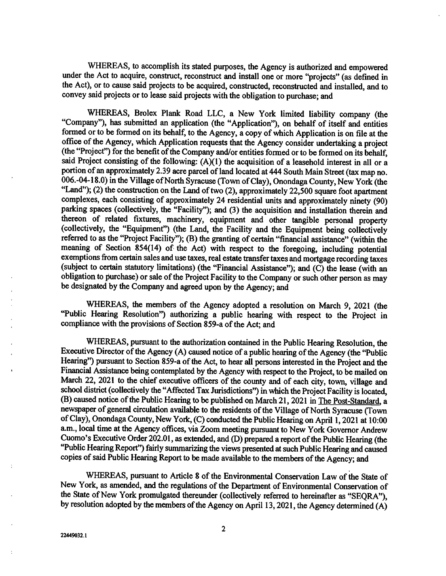WHEREAS, to accomplish its stated purposes, the Agency is authorized and empowered under the Act to acquire, construct, reconstruct and install one or more "projects" (as defined in the Act), or to cause said projects to be acquired, constructed, reconstructed and installed, and to convey said projects or to lease said projects with the obligation to purchase; and

WHEREAS, Brolex Plank Road LLC, a New York limited liability company (the "Company"), has submitted an application (the "Application"), on behalf of itself and entities formed or to be formed on its behalf, to the Agency, a copy of which Application is on file at the office of the Agency, which Application requests that the Agency consider undertaking a project (the "Project") for the benefit of the Company and/or entities formed or to be formed on its behalf, said Project consisting of the following: (A)(1) the acquisition of a leasehold interest in all or a portion of an approximately 2.39 acre parcel of land located at 444 South Main Street (tax map no. 006.-04-18.0) in the Village of North Syracuse (Town of Clay), Onondaga County, New York (the "Land"); (2) the construction on the Land of two (2), approximately 22,500 square foot apartment complexes, each consisting of approximately 24 residential units and approximately ninety (90) parking spaces (collectively, the "Facility"); and (3) the acquisition and installation therein and thereon of related fixtures, machinery, equipment and other tangible personal property (collectively, the "Equipment") (the Land, the Facility and the Equipment being collectively referred to as the "Project Facility"); (B) the granting of certain "financial assistance" (within the meaning of Section 854(14) of the Act) with respect to the foregoing, including potential exemptions from certain sales and use taxes, real estate transfer taxes and mortgage recording taxes (subject to certain statutory limitations) (the "Financial Assistance"); and (C) the lease (with an obligation to purchase) or sale of the Project Facility to the Company or such other person as may be designated by the Company and agreed upon by the Agency; and

WHEREAS, the members of the Agency adopted a resolution on March 9, 2021 (the "Public Hearing Resolution") authorizing a public hearing with respect to the Project in compliance with the provisions of Section 859-a of the Act; and

WHEREAS, pursuant to the authorization contained in the Public Hearing Resolution, the Executive Director of the Agency (A) caused notice of a public hearing of the Agency (the "Public Hearing") pursuant to Section 859-a of the Act, to hear all persons interested in the Project and the Financial Assistance being contemplated by the Agency with respect to the Project, to be mailed on March 22, 2021 to the chief executive officers of the county and of each city, town, village and school district (collectively the "Affected Tax Jurisdictions") in which the Project Facility is located, (B) caused notice of the Public Hearing to be published on March 21, 2021 in The Post-Standard, a newspaper of general circulation available to the residents of the Village of North Syracuse (Town of Clay), Onondaga County, New York, (C) conducted the Public Hearing on April 1, 2021 at 10:00 a.m., local time at the Agency offices, via Zoom meeting pursuant to New York Governor Andrew Cuomo's Executive Order 202.01, as extended, and (D) prepared a report of the Public Hearing (the "Public Hearing Report") fairly summarizing the views presented at such Public Hearing and caused copies of said Public Hearing Report to be made available to the members of the Agency; and

WHEREAS, pursuant to Article 8 of the Environmental Conservation Law of the State of New York, as amended, and the regulations of the Department of Environmental Conservation of the State of New York promulgated thereunder (collectively referred to hereinafter as "SEQRA"), by resolution adopted by the members of the Agency on April 13,2021, the Agency determined (A)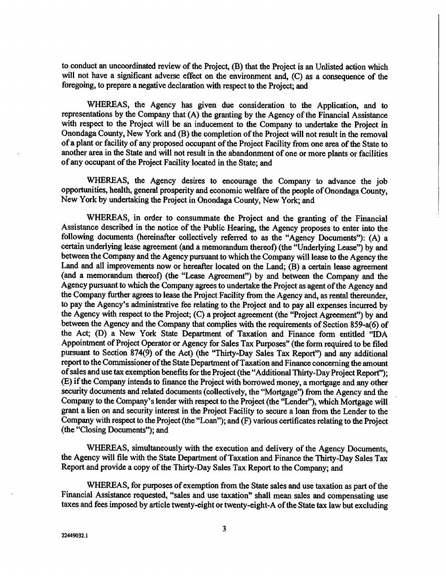to conduct an uncoordinated review of the Project, (B) that the Project is an Unlisted action which will not have a significant adverse effect on the environment and, (C) as a consequence of the foregoing, to prepare a negative declaration with respect to the Project; and

WHEREAS, the Agency has given due consideration to the Application, and to representations by the Company that (A) the granting by the Agency of the Financial Assistance with respect to the Project will be an inducement to the Company to undertake the Project in Onondaga County, New York and (B) the completion of the Project will not result in the removal of a plant or facility of any proposed occupant of the Project Facility from one area of the State to another area in the State and will not result in the abandonment of one or more plants or facilities of any occupant of the Project Facility located in the State; and

WHEREAS, the Agency desires to encourage the Company to advance the job opportunities, health, general prosperity and economic welfare of the people of Onondaga County, New York by undertaking the Project in Onondaga County, New York; and

WHEREAS, in order to consummate the Project and the granting of the Financial Assistance described in the notice of the Public Hearing, the Agency proposes to enter into the following documents (hereinafter collectively referred to as the "Agency Documents"): (A) a certain underlying lease agreement (and a memorandum thereof) (the "Underlying Lease") by and between the Company and the Agency pursuant to which the Company will lease to the Agency the Land and all improvements now or hereafter located on the Land; (B) a certain lease agreement (and a memorandum thereof) (the "Lease Agreement") by and between the Company and the Agency pursuant to which the Company agrees to undertake the Project as agent of the Agency and the Company further agrees to lease the Project Facility from the Agency and, as rental thereunder, to pay the Agency's administrative fee relating to the Project and to pay all expenses incurred by the Agency with respect to the Project; (C) a project agreement (the "Project Agreement") by and between the Agency and the Company that complies with the requirements of Section 859-a(6) of the Act; (D) a New York State Department of Taxation and Finance form entitled "IDA Appointment of Project Operator or Agency for Sales Tax Purposes" (the form required to be filed pursuant to Section 874(9) of the Act) (the "Thirty-Day Sales Tax Report") and any additional report to the Commissioner of the State Department of Taxation and Finance concerning the amount of sales and use tax exemption benefits for the Project (the "Additional Thirty-Day Project Report"); (E) if the Company intends to finance the Project with borrowed money, a mortgage and any other security documents and related documents (collectively, the "Mortgage") from the Agency and the Company to the Company's lender with respect to the Project (the "Lender"), which Mortgage will grant a lien on and security interest in the Project Facility to secure a loan from the Lender to the Company with respect to the Project (the "Loan"); and (F) various certificates relating to the Project (the "Closing Documents"); and

WHEREAS, simultaneously with the execution and delivery of the Agency Documents, the Agency will file with the State Department of Taxation and Finance the Thirty-Day Sales Tax Report and provide a copy of the Thirty-Day Sales Tax Report to the Company; and

WHEREAS, for purposes of exemption from the State sales and use taxation as part of the Financial Assistance requested, "sales and use taxation" shall mean sales and compensating use taxes and fees imposed by article twenty-eight or twenty-eight-A of the State tax law but excluding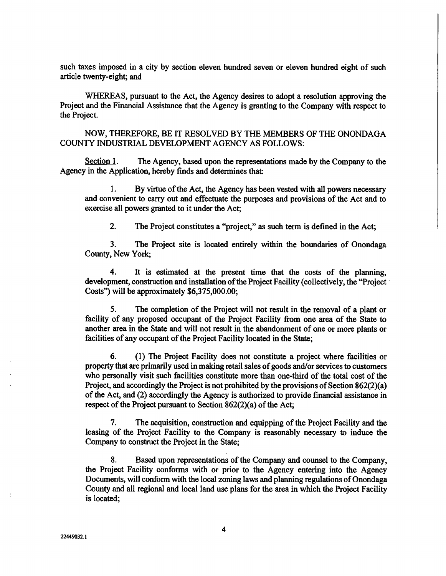such taxes imposed in a city by section eleven hundred seven or eleven hundred eight of such article twenty-eight; and

WHEREAS, pursuant to the Act, the Agency desires to adopt a resolution approving the Project and the Financial Assistance that the Agency is granting to the Company with respect to the Project.

NOW, THEREFORE, BE IT RESOLVED BY THE MEMBERS OF THE ONONDAGA COUNTY INDUSTRIAL DEVELOPMENT AGENCY AS FOLLOWS:

Section 1. The Agency, based upon the representations made by the Company to the Agency in the Application, hereby finds and determines that:

I. By virtue of the Act, the Agency has been vested with all powers necessary and convenient to carry out and effectuate the purposes and provisions of the Act and to exercise all powers granted to it under the Act;

2. The Project constitutes a "project," as such term is defined in the Act;

3. The Project site is located entirely within the boundaries of Onondaga County, New York;

4. It is estimated at the present time that the costs of the planning, development, construction and installation of the Project Facility (collectively, the "Project Costs") will be approximately \$6,375,000.00;

5. The completion of the Project will not result in the removal of a plant or facility of any proposed occupant of the Project Facility from one area of the State to another area in the State and will not result in the abandonment of one or more plants or facilities of any occupant of the Project Facility located in the State;

6. (1) The Project Facility does not constitute a project where facilities or property that are primarily used in making retail sales of goods and/or services to customers who personally visit such facilities constitute more than one-third of the total cost of the Project, and accordingly the Project is not prohibited by the provisions of Section 862(2)(a) of the Act, and (2) accordingly the Agency is authorized to provide financial assistance in respect of the Project pursuant to Section 862(2)(a) of the Act;

7. The acquisition, construction and equipping of the Project Facility and the leasing of the Project Facility to the Company is reasonably necessary to induce the Company to construct the Project in the State;

8. Based upon representations of the Company and counsel to the Company, the Project Facility conforms with or prior to the Agency entering into the Agency Documents, will conform with the local zoning laws and planning regulations of Onondaga County and all regional and local land use plans for the area in which the Project Facility is located;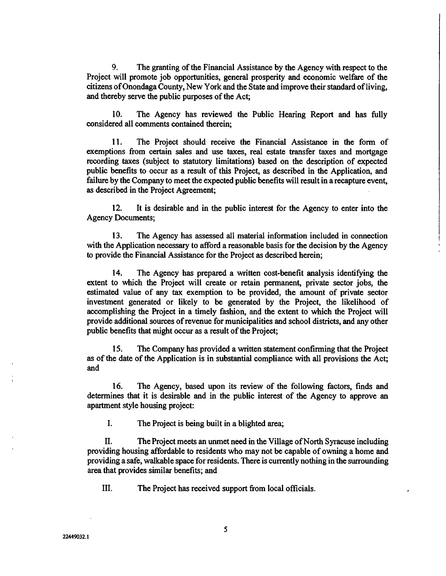9. The granting of the Financial Assistance by the Agency with respect to the Project will promote job opportunities, general prosperity and economic welfare of the citizens of Onondaga County, New York and the State and improve their standard of living, and thereby serve the public purposes of the Act;

10. The Agency has reviewed the Public Hearing Report and has fully considered all comments contained therein;

11. The Project should receive the Financial Assistance in the form of exemptions from certain sales and use taxes, real estate transfer taxes and mortgage recording taxes (subject to statutory limitations) based on the description of expected public benefits to occur as a result of this Project, as described in the Application, and failure by the Company to meet the expected public benefits will result in a recapture event, as described in the Project Agreement;

12. It is desirable and in the public interest for the Agency to enter into the Agency Documents;

13. The Agency has assessed all material information included in connection with the Application necessary to afford a reasonable basis for the decision by the Agency to provide the Financial Assistance for the Project as described herein;

14. The Agency has prepared a written cost-benefit analysis identifying the extent to which the Project will create or retain permanent, private sector jobs, the estimated value of any tax exemption to be provided, the amount of private sector investment generated or likely to be generated by the Project, the likelihood of accomplishing the Project in a timely fashion, and the extent to which the Project will provide additional sources of revenue for municipalities and school districts, and any other public benefits that might occur as a result of the Project;

15. The Company has provided a written statement confirming that the Project as of the date of the Application is in substantial compliance with all provisions the Act; and

16. The Agency, based upon its review of the following factors, finds and determines that it is desirable and in the public interest of the Agency to approve an apartment style housing project:

I. The Project is being built in a blighted area;

II. The Project meets an unmet need in the Village of North Syracuse including providing housing affordable to residents who may not be capable of owning a home and providing a safe, walkable space for residents. There is currently nothing in the surrounding area that provides similar benefits; and

III. The Project has received support from local officials.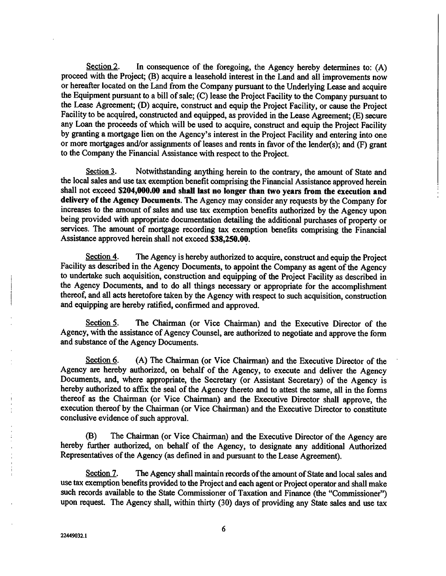Section 2. In consequence of the foregoing, the Agency hereby determines to: (A) proceed with the Project; (B) acquire a leasehold interest in the Land and all improvements now or hereafter located on the Land from the Company pursuant to the Underlying Lease and acquire the Equipment pursuant to a bill of sale; (C) lease the Project Facility to the Company pursuant to the Lease Agreement; (D) acquire, construct and equip the Project Facility, or cause the Project Facility to be acquired, constructed and equipped, as provided in the Lease Agreement; (E) secure any Loan the proceeds of which will be used to acquire, construct and equip the Project Facility by granting a mortgage lien on the Agency's interest in the Project Facility and entering into one or more mortgages and/or assignments of leases and rents in favor of the lender(s); and (F) grant to the Company the Financial Assistance with respect to the Project.

Section 3. Notwithstanding anything herein to the contrary, the amount of State and the local sales and use tax exemption benefit comprising the Financial Assistance approved herein shall not exceed \$204,000.00 and shall last no longer than two years from the execution and delivery of the Agency Documents. The Agency may consider any requests by the Company for increases to the amount of sales and use tax exemption benefits authorized by the Agency upon being provided with appropriate documentation detailing the additional purchases of property or services. The amount of mortgage recording tax exemption benefits comprising the Financial Assistance approved herein shall not exceed \$38,250.00.

Section 4. The Agency is hereby authorized to acquire, construct and equip the Project Facility as described in the Agency Documents, to appoint the Company as agent of the Agency to undertake such acquisition, construction and equipping of the Project Facility as described in the Agency Documents, and to do all things necessary or appropriate for the accomplishment thereof, and all acts heretofore taken by the Agency with respect to such acquisition, construction and equipping are hereby ratified, confirmed and approved.

Section 5. The Chairman (or Vice Chairman) and the Executive Director of the Agency, with the assistance of Agency Counsel, are authorized to negotiate and approve the form and substance of the Agency Documents.

Section 6. (A) The Chairman (or Vice Chairman) and the Executive Director of the Agency are hereby authorized, on behalf of the Agency, to execute and deliver the Agency Documents, and, where appropriate, the Secretary (or Assistant Secretary) of the Agency is hereby authorized to affix the seal of the Agency thereto and to attest the same, all in the forms thereof as the Chairman (or Vice Chairman) and the Executive Director shall approve, the execution thereof by the Chairman (or Vice Chairman) and the Executive Director to constitute conclusive evidence of such approval.

(B) The Chairman (or Vice Chairman) and the Executive Director of the Agency are hereby further authorized, on behalf of the Agency, to designate any additional Authorized Representatives of the Agency (as defined in and pursuant to the Lease Agreement).

Section 7. The Agency shall maintain records of the amount of State and local sales and use tax exemption benefits provided to the Project and each agent or Project operator and shall make such records available to the State Commissioner of Taxation and Finance (the "Commissioner") upon request. The Agency shall, within thirty (30) days of providing any State sales and use tax

6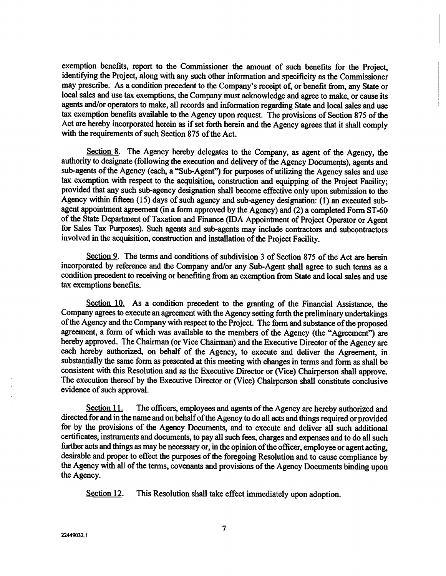exemption benefits, report to the Commissioner the amount of such benefits for the Project, identifying the Project, along with any such other information and specificity as the Commissioner may prescribe. As a condition precedent to the Company's receipt of, or benefit from, any State or local sales and use tax exemptions, the Company must acknowledge and agree to make, or cause its agents and/or operators to make, all records and information regarding State and local sales and use tax exemption benefits available to the Agency upon request. The provisions of Section 875 of the Act are hereby incorporated herein as if set forth herein and the Agency agrees that it shall comply with the requirements of such Section 875 of the Act.

Section 8. The Agency hereby delegates to the Company, as agent of the Agency, the authority to designate (following the execution and delivery of the Agency Documents), agents and sub-agents of the Agency (each, a "Sub-Agent") for purposes of utilizing the Agency sales and use tax exemption with respect to the acquisition, construction and equipping of the Project Facility; provided that any such sub-agency designation shall become effective only upon submission to the Agency within fifteen (15) days of such agency and sub-agency designation: (1) an executed subagent appointment agreement (in a form approved by the Agency) and (2) a completed Form ST-60 of the State Department of Taxation and Finance (IDA Appointment of Project Operator or Agent for Sales Tax Purposes). Such agents and sub-agents may include contractors and subcontractors involved in the acquisition, construction and installation of the Project Facility.

Section 9. The terms and conditions of subdivision 3 of Section 875 of the Act are herein incorporated by reference and the Company and/or any Sub-Agent shall agree to such terms as a condition precedent to receiving or benefiting from an exemption from State and local sales and use tax exemptions benefits.

Section 10. As a condition precedent to the granting of the Financial Assistance, the Company agrees to execute an agreement with the Agency setting forth the preliminary undertakings of the Agency and the Company with respect to the Project. The form and substance of the proposed agreement, a form of which was available to the members of the Agency (the "Agreement") are hereby approved. The Chairman (or Vice Chairman) and the Executive Director of the Agency are each hereby authorized, on behalf of the Agency, to execute and deliver the Agreement, in substantially the same form as presented at this meeting with changes in terms and form as shall be consistent with this Resolution and as the Executive Director or (Vice) Chairperson shall approve. The execution thereof by the Executive Director or (Vice) Chairperson shall constitute conclusive evidence of such approval.

Section 11. The officers, employees and agents of the Agency are hereby authorized and directed for and in the name and on behalf of the Agency to do all acts and things required or provided for by the provisions of the Agency Documents, and to execute and deliver all such additional certificates, instruments and documents, to pay all such fees, charges and expenses and to do all such further acts and things as may be necessary or, in the opinion of the officer, employee or agent acting, desirable and proper to effect the purposes of the foregoing Resolution and to cause compliance by the Agency with all of the terms, covenants and provisions of the Agency Documents binding upon the Agency.

Section 12. This Resolution shall take effect immediately upon adoption.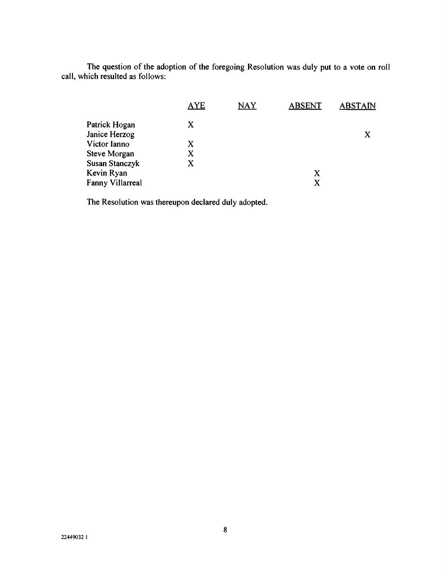The question of the adoption of the foregoing Resolution was duly put to a vote on roll call, which resulted as follows:

| <b>AYE</b> | <b>NAY</b> | <b>ABSENT</b> | <b>ABSTAIN</b> |
|------------|------------|---------------|----------------|
| X          |            |               |                |
|            |            |               | X              |
| X          |            |               |                |
| X          |            |               |                |
| X          |            |               |                |
|            |            | X             |                |
|            |            | X             |                |
|            |            |               |                |

The Resolution was thereupon declared duly adopted.